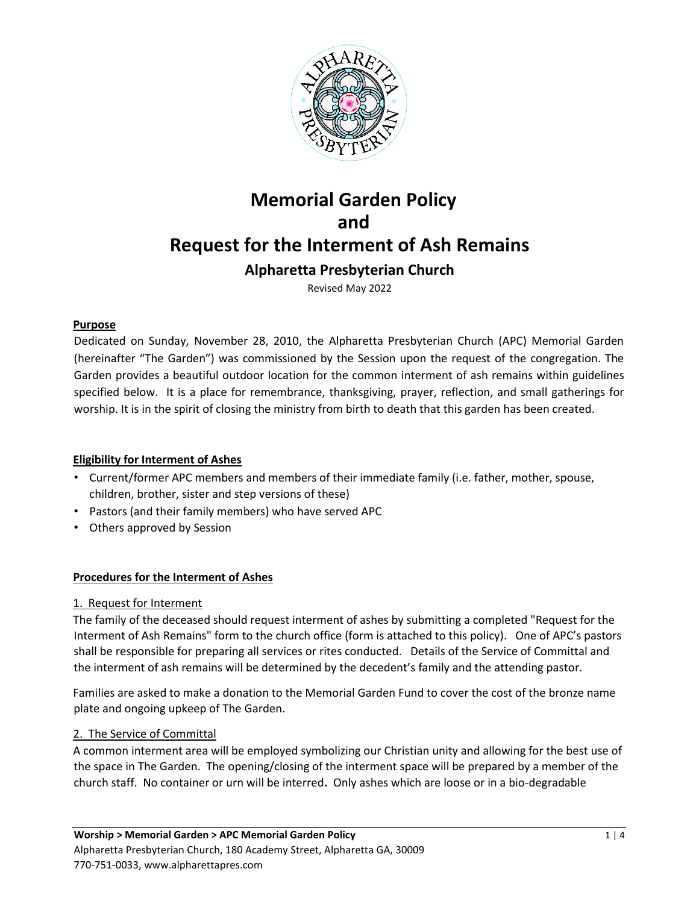

# **Memorial Garden Policy and Request for the Interment of Ash Remains Alpharetta Presbyterian Church**

Revised May 2022

### **Purpose**

Dedicated on Sunday, November 28, 2010, the Alpharetta Presbyterian Church (APC) Memorial Garden (hereinafter "The Garden") was commissioned by the Session upon the request of the congregation. The Garden provides a beautiful outdoor location for the common interment of ash remains within guidelines specified below. It is a place for remembrance, thanksgiving, prayer, reflection, and small gatherings for worship. It is in the spirit of closing the ministry from birth to death that this garden has been created.

## **Eligibility for Interment of Ashes**

- Current/former APC members and members of their immediate family (i.e. father, mother, spouse, children, brother, sister and step versions of these)
- Pastors (and their family members) who have served APC
- Others approved by Session

## **Procedures for the Interment of Ashes**

### 1. Request for Interment

The family of the deceased should request interment of ashes by submitting a completed "Request for the Interment of Ash Remains" form to the church office (form is attached to this policy). One of APC's pastors shall be responsible for preparing all services or rites conducted. Details of the Service of Committal and the interment of ash remains will be determined by the decedent's family and the attending pastor.

Families are asked to make a donation to the Memorial Garden Fund to cover the cost of the bronze name plate and ongoing upkeep of The Garden.

### 2. The Service of Committal

A common interment area will be employed symbolizing our Christian unity and allowing for the best use of the space in The Garden. The opening/closing of the interment space will be prepared by a member of the church staff. No container or urn will be interred**.** Only ashes which are loose or in a bio-degradable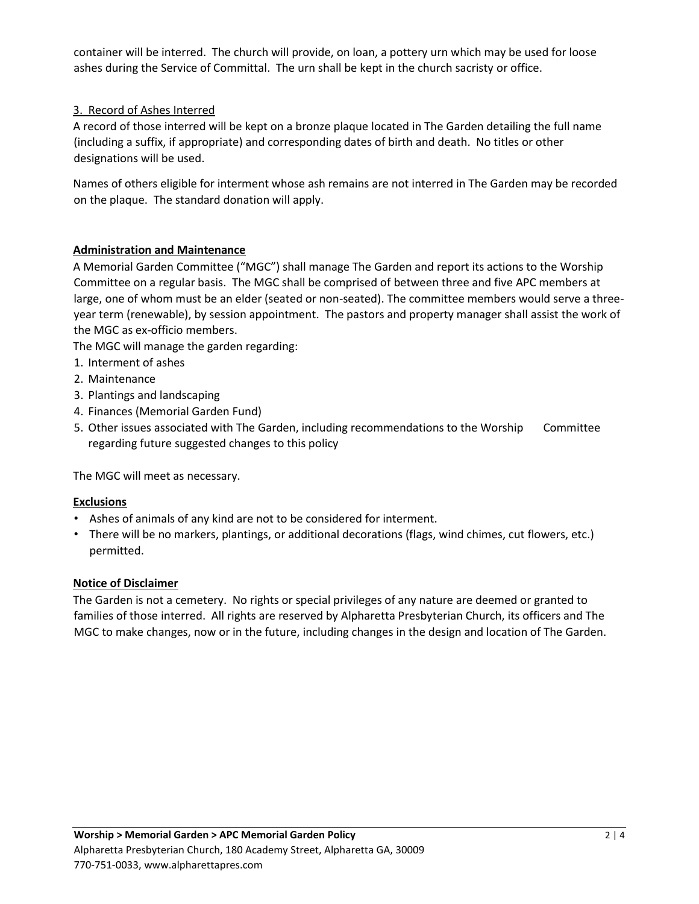container will be interred. The church will provide, on loan, a pottery urn which may be used for loose ashes during the Service of Committal. The urn shall be kept in the church sacristy or office.

## 3. Record of Ashes Interred

A record of those interred will be kept on a bronze plaque located in The Garden detailing the full name (including a suffix, if appropriate) and corresponding dates of birth and death. No titles or other designations will be used.

Names of others eligible for interment whose ash remains are not interred in The Garden may be recorded on the plaque. The standard donation will apply.

## **Administration and Maintenance**

A Memorial Garden Committee ("MGC") shall manage The Garden and report its actions to the Worship Committee on a regular basis. The MGC shall be comprised of between three and five APC members at large, one of whom must be an elder (seated or non-seated). The committee members would serve a threeyear term (renewable), by session appointment. The pastors and property manager shall assist the work of the MGC as ex-officio members.

The MGC will manage the garden regarding:

- 1. Interment of ashes
- 2. Maintenance
- 3. Plantings and landscaping
- 4. Finances (Memorial Garden Fund)
- 5. Other issues associated with The Garden, including recommendations to the Worship Committee regarding future suggested changes to this policy

The MGC will meet as necessary.

### **Exclusions**

- Ashes of animals of any kind are not to be considered for interment.
- There will be no markers, plantings, or additional decorations (flags, wind chimes, cut flowers, etc.) permitted.

### **Notice of Disclaimer**

The Garden is not a cemetery. No rights or special privileges of any nature are deemed or granted to families of those interred. All rights are reserved by Alpharetta Presbyterian Church, its officers and The MGC to make changes, now or in the future, including changes in the design and location of The Garden.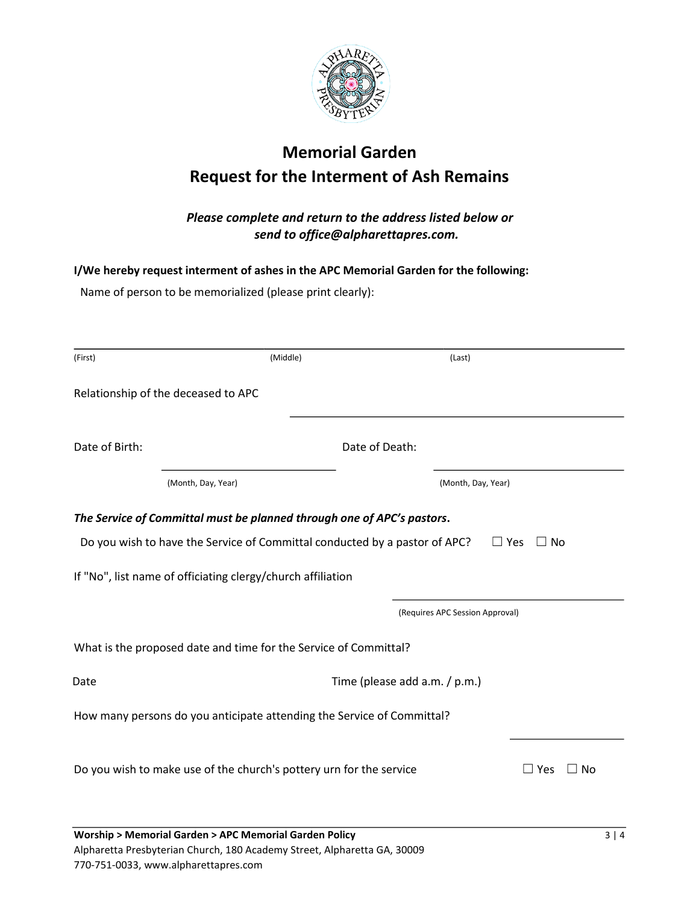

## **Memorial Garden Request for the Interment of Ash Remains**

## *Please complete and return to the address listed below or send to office@alpharettapres.com.*

**I/We hereby request interment of ashes in the APC Memorial Garden for the following:** 

Name of person to be memorialized (please print clearly):

| (First)        | (Middle)                                                            |                                                                            | (Last)                          |                         |
|----------------|---------------------------------------------------------------------|----------------------------------------------------------------------------|---------------------------------|-------------------------|
|                | Relationship of the deceased to APC                                 |                                                                            |                                 |                         |
| Date of Birth: |                                                                     | Date of Death:                                                             |                                 |                         |
|                | (Month, Day, Year)                                                  |                                                                            | (Month, Day, Year)              |                         |
|                |                                                                     | The Service of Committal must be planned through one of APC's pastors.     |                                 |                         |
|                |                                                                     | Do you wish to have the Service of Committal conducted by a pastor of APC? | $\Box$ Yes                      | No                      |
|                | If "No", list name of officiating clergy/church affiliation         |                                                                            |                                 |                         |
|                |                                                                     |                                                                            | (Requires APC Session Approval) |                         |
|                | What is the proposed date and time for the Service of Committal?    |                                                                            |                                 |                         |
| Date           |                                                                     | Time (please add a.m. / p.m.)                                              |                                 |                         |
|                |                                                                     | How many persons do you anticipate attending the Service of Committal?     |                                 |                         |
|                | Do you wish to make use of the church's pottery urn for the service |                                                                            |                                 | $\Box$ Yes<br>$\Box$ No |